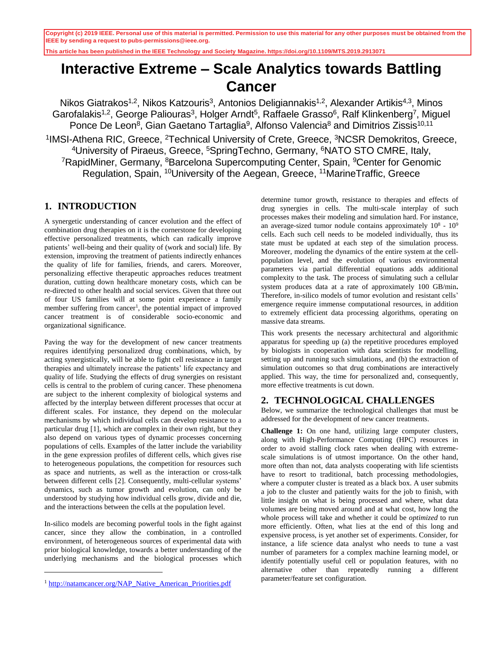**This article has been published in the IEEE Technology and Society Magazine. https://doi.org/10.1109/MTS.2019.2913071**

# **Interactive Extreme – Scale Analytics towards Battling Cancer**

Nikos Giatrakos<sup>1,2</sup>, Nikos Katzouris<sup>3</sup>, Antonios Deligiannakis<sup>1,2</sup>, Alexander Artikis<sup>4,3</sup>, Minos Garofalakis<sup>1,2</sup>, George Paliouras<sup>3</sup>, Holger Arndt<sup>5</sup>, Raffaele Grasso<sup>6</sup>, Ralf Klinkenberg<sup>7</sup>, Miguel Ponce De Leon<sup>8</sup>, Gian Gaetano Tartaglia<sup>9</sup>, Alfonso Valencia<sup>8</sup> and Dimitrios Zissis<sup>10,11</sup> <sup>1</sup>IMSI-Athena RIC, Greece, <sup>2</sup>Technical University of Crete, Greece, <sup>3</sup>NCSR Demokritos, Greece, <sup>4</sup>University of Piraeus, Greece, <sup>5</sup>SpringTechno, Germany, <sup>6</sup>NATO STO CMRE, Italy, <sup>7</sup>RapidMiner, Germany, <sup>8</sup>Barcelona Supercomputing Center, Spain, <sup>9</sup>Center for Genomic Regulation, Spain, <sup>10</sup>University of the Aegean, Greece, <sup>11</sup>MarineTraffic, Greece

# **1. INTRODUCTION**

A synergetic understanding of cancer evolution and the effect of combination drug therapies on it is the cornerstone for developing effective personalized treatments, which can radically improve patients' well-being and their quality of (work and social) life. By extension, improving the treatment of patients indirectly enhances the quality of life for families, friends, and carers. Moreover, personalizing effective therapeutic approaches reduces treatment duration, cutting down healthcare monetary costs, which can be re-directed to other health and social services. Given that three out of four US families will at some point experience a family member suffering from cancer<sup>1</sup>, the potential impact of improved cancer treatment is of considerable socio-economic and organizational significance.

Paving the way for the development of new cancer treatments requires identifying personalized drug combinations, which, by acting synergistically, will be able to fight cell resistance in target therapies and ultimately increase the patients' life expectancy and quality of life. Studying the effects of drug synergies on resistant cells is central to the problem of curing cancer. These phenomena are subject to the inherent complexity of biological systems and affected by the interplay between different processes that occur at different scales. For instance, they depend on the molecular mechanisms by which individual cells can develop resistance to a particular drug [\[1\],](#page-4-0) which are complex in their own right, but they also depend on various types of dynamic processes concerning populations of cells. Examples of the latter include the variability in the gene expression profiles of different cells, which gives rise to heterogeneous populations, the competition for resources such as space and nutrients, as well as the interaction or cross-talk between different cells [\[2\].](#page-4-1) Consequently, multi-cellular systems' dynamics, such as tumor growth and evolution, can only be understood by studying how individual cells grow, divide and die, and the interactions between the cells at the population level.

In-silico models are becoming powerful tools in the fight against cancer, since they allow the combination, in a controlled environment, of heterogeneous sources of experimental data with prior biological knowledge, towards a better understanding of the underlying mechanisms and the biological processes which

l

determine tumor growth, resistance to therapies and effects of drug synergies in cells. The multi-scale interplay of such processes makes their modeling and simulation hard. For instance, an average-sized tumor nodule contains approximately  $10^8 \text{ - } 10^9$ cells. Each such cell needs to be modeled individually, thus its state must be updated at each step of the simulation process. Moreover, modeling the dynamics of the entire system at the cellpopulation level, and the evolution of various environmental parameters via partial differential equations adds additional complexity to the task. The process of simulating such a cellular system produces data at a rate of approximately 100 GB/min**.**  Therefore, in-silico models of tumor evolution and resistant cells' emergence require immense computational resources, in addition to extremely efficient data processing algorithms, operating on massive data streams.

This work presents the necessary architectural and algorithmic apparatus for speeding up (a) the repetitive procedures employed by biologists in cooperation with data scientists for modelling, setting up and running such simulations, and (b) the extraction of simulation outcomes so that drug combinations are interactively applied. This way, the time for personalized and, consequently, more effective treatments is cut down.

## <span id="page-0-0"></span>**2. TECHNOLOGICAL CHALLENGES**

Below, we summarize the technological challenges that must be addressed for the development of new cancer treatments.

**Challenge 1:** On one hand, utilizing large computer clusters, along with High-Performance Computing (HPC) resources in order to avoid stalling clock rates when dealing with extremescale simulations is of utmost importance. On the other hand, more often than not, data analysts cooperating with life scientists have to resort to traditional, batch processing methodologies, where a computer cluster is treated as a black box. A user submits a job to the cluster and patiently waits for the job to finish, with little insight on what is being processed and where, what data volumes are being moved around and at what cost, how long the whole process will take and whether it could be *optimized* to run more efficiently. Often, what lies at the end of this long and expensive process, is yet another set of experiments. Consider, for instance, a life science data analyst who needs to tune a vast number of parameters for a complex machine learning model, or identify potentially useful cell or population features, with no alternative other than repeatedly running a different parameter/feature set configuration.

<sup>&</sup>lt;sup>1</sup> [http://natamcancer.org/NAP\\_Native\\_American\\_Priorities.pdf](http://natamcancer.org/NAP_Native_American_Priorities.pdf)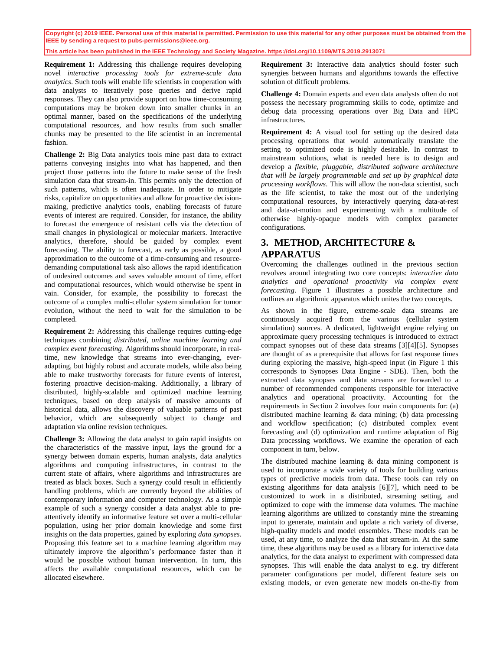**This article has been published in the IEEE Technology and Society Magazine. https://doi.org/10.1109/MTS.2019.2913071**

**Requirement 1:** Addressing this challenge requires developing novel *interactive processing tools for extreme-scale data analytics*. Such tools will enable life scientists in cooperation with data analysts to iteratively pose queries and derive rapid responses. They can also provide support on how time-consuming computations may be broken down into smaller chunks in an optimal manner, based on the specifications of the underlying computational resources, and how results from such smaller chunks may be presented to the life scientist in an incremental fashion.

**Challenge 2:** Big Data analytics tools mine past data to extract patterns conveying insights into what has happened, and then project those patterns into the future to make sense of the fresh simulation data that stream-in. This permits only the detection of such patterns, which is often inadequate. In order to mitigate risks, capitalize on opportunities and allow for proactive decisionmaking, predictive analytics tools, enabling forecasts of future events of interest are required. Consider, for instance, the ability to forecast the emergence of resistant cells via the detection of small changes in physiological or molecular markers. Interactive analytics, therefore, should be guided by complex event forecasting. The ability to forecast, as early as possible, a good approximation to the outcome of a time-consuming and resourcedemanding computational task also allows the rapid identification of undesired outcomes and saves valuable amount of time, effort and computational resources, which would otherwise be spent in vain. Consider, for example, the possibility to forecast the outcome of a complex multi-cellular system simulation for tumor evolution, without the need to wait for the simulation to be completed.

**Requirement 2:** Addressing this challenge requires cutting-edge techniques combining *distributed, online machine learning and complex event forecasting*. Algorithms should incorporate, in realtime, new knowledge that streams into ever-changing, everadapting, but highly robust and accurate models, while also being able to make trustworthy forecasts for future events of interest, fostering proactive decision-making. Additionally, a library of distributed, highly-scalable and optimized machine learning techniques, based on deep analysis of massive amounts of historical data, allows the discovery of valuable patterns of past behavior, which are subsequently subject to change and adaptation via online revision techniques.

**Challenge 3:** Allowing the data analyst to gain rapid insights on the characteristics of the massive input, lays the ground for a synergy between domain experts, human analysts, data analytics algorithms and computing infrastructures, in contrast to the current state of affairs, where algorithms and infrastructures are treated as black boxes. Such a synergy could result in efficiently handling problems, which are currently beyond the abilities of contemporary information and computer technology. As a simple example of such a synergy consider a data analyst able to preattentively identify an informative feature set over a multi-cellular population, using her prior domain knowledge and some first insights on the data properties, gained by exploring *data synopses*. Proposing this feature set to a machine learning algorithm may ultimately improve the algorithm's performance faster than it would be possible without human intervention. In turn, this affects the available computational resources, which can be allocated elsewhere.

**Requirement 3:** Interactive data analytics should foster such synergies between humans and algorithms towards the effective solution of difficult problems.

**Challenge 4:** Domain experts and even data analysts often do not possess the necessary programming skills to code, optimize and debug data processing operations over Big Data and HPC infrastructures.

**Requirement 4:** A visual tool for setting up the desired data processing operations that would automatically translate the setting to optimized code is highly desirable. In contrast to mainstream solutions, what is needed here is to design and develop a *flexible, pluggable, distributed software architecture that will be largely programmable and set up by graphical data processing workflows*. This will allow the non-data scientist, such as the life scientist, to take the most out of the underlying computational resources, by interactively querying data-at-rest and data-at-motion and experimenting with a multitude of otherwise highly-opaque models with complex parameter configurations.

# <span id="page-1-0"></span>**3. METHOD, ARCHITECTURE & APPARATUS**

Overcoming the challenges outlined in the previous section revolves around integrating two core concepts: *interactive data analytics and operational proactivity via complex event forecasting*. Figure 1 illustrates a possible architecture and outlines an algorithmic apparatus which unites the two concepts.

As shown in the figure, extreme-scale data streams are continuously acquired from the various (cellular system simulation) sources. A dedicated, lightweight engine relying on approximate query processing techniques is introduced to extract compact synopses out of these data streams [\[3\]](#page-4-2)[\[4\]](#page-4-3)[\[5\].](#page-4-4) Synopses are thought of as a prerequisite that allows for fast response times during exploring the massive, high-speed input (in [Figure 1](#page-5-0) this corresponds to Synopses Data Engine - SDE). Then, both the extracted data synopses and data streams are forwarded to a number of recommended components responsible for interactive analytics and operational proactivity. Accounting for the requirements in Section [2](#page-0-0) involves four main components for: (a) distributed machine learning & data mining; (b) data processing and workflow specification; (c) distributed complex event forecasting and (d) optimization and runtime adaptation of Big Data processing workflows. We examine the operation of each component in turn, below.

The distributed machine learning & data mining component is used to incorporate a wide variety of tools for building various types of predictive models from data. These tools can rely on existing algorithms for data analysis [\[6\]](#page-4-5)[\[7\],](#page-4-6) which need to be customized to work in a distributed, streaming setting, and optimized to cope with the immense data volumes. The machine learning algorithms are utilized to constantly mine the streaming input to generate, maintain and update a rich variety of diverse, high-quality models and model ensembles. These models can be used, at any time, to analyze the data that stream-in. At the same time, these algorithms may be used as a library for interactive data analytics, for the data analyst to experiment with compressed data synopses. This will enable the data analyst to e.g. try different parameter configurations per model, different feature sets on existing models, or even generate new models on-the-fly from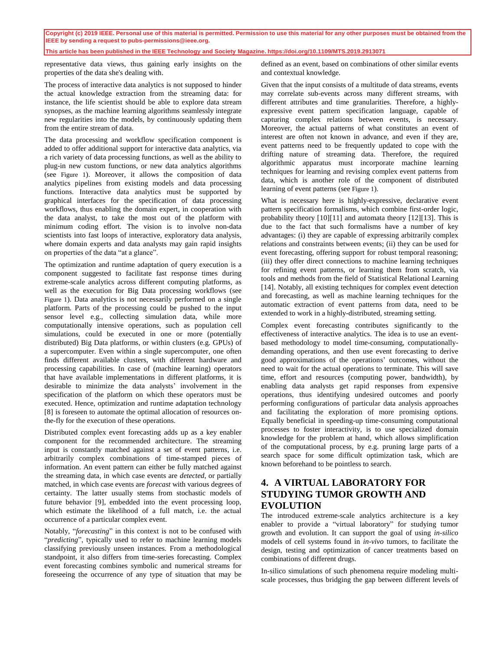**This article has been published in the IEEE Technology and Society Magazine. https://doi.org/10.1109/MTS.2019.2913071**

representative data views, thus gaining early insights on the properties of the data she's dealing with.

The process of interactive data analytics is not supposed to hinder the actual knowledge extraction from the streaming data: for instance, the life scientist should be able to explore data stream synopses, as the machine learning algorithms seamlessly integrate new regularities into the models, by continuously updating them from the entire stream of data.

The data processing and workflow specification component is added to offer additional support for interactive data analytics, via a rich variety of data processing functions, as well as the ability to plug-in new custom functions, or new data analytics algorithms (see [Figure 1](#page-5-0)). Moreover, it allows the composition of data analytics pipelines from existing models and data processing functions. Interactive data analytics must be supported by graphical interfaces for the specification of data processing workflows, thus enabling the domain expert, in cooperation with the data analyst, to take the most out of the platform with minimum coding effort. The vision is to involve non-data scientists into fast loops of interactive, exploratory data analysis, where domain experts and data analysts may gain rapid insights on properties of the data "at a glance".

The optimization and runtime adaptation of query execution is a component suggested to facilitate fast response times during extreme-scale analytics across different computing platforms, as well as the execution for Big Data processing workflows (see [Figure 1](#page-5-0)). Data analytics is not necessarily performed on a single platform. Parts of the processing could be pushed to the input sensor level e.g., collecting simulation data, while more computationally intensive operations, such as population cell simulations, could be executed in one or more (potentially distributed) Big Data platforms, or within clusters (e.g. GPUs) of a supercomputer. Even within a single supercomputer, one often finds different available clusters, with different hardware and processing capabilities. In case of (machine learning) operators that have available implementations in different platforms, it is desirable to minimize the data analysts' involvement in the specification of the platform on which these operators must be executed. Hence, optimization and runtime adaptation technology [\[8\]](#page-4-7) is foreseen to automate the optimal allocation of resources onthe-fly for the execution of these operations.

Distributed complex event forecasting adds up as a key enabler component for the recommended architecture. The streaming input is constantly matched against a set of event patterns, i.e. arbitrarily complex combinations of time-stamped pieces of information. An event pattern can either be fully matched against the streaming data, in which case events are *detected*, or partially matched, in which case events are *forecast* with various degrees of certainty. The latter usually stems from stochastic models of future behavior [\[9\],](#page-4-8) embedded into the event processing loop, which estimate the likelihood of a full match, i.e. the actual occurrence of a particular complex event.

Notably, "*forecasting*" in this context is not to be confused with "*predicting*", typically used to refer to machine learning models classifying previously unseen instances. From a methodological standpoint, it also differs from time-series forecasting. Complex event forecasting combines symbolic and numerical streams for foreseeing the occurrence of any type of situation that may be

defined as an event, based on combinations of other similar events and contextual knowledge.

Given that the input consists of a multitude of data streams, events may correlate sub-events across many different streams, with different attributes and time granularities. Therefore, a highlyexpressive event pattern specification language, capable of capturing complex relations between events, is necessary. Moreover, the actual patterns of what constitutes an event of interest are often not known in advance, and even if they are, event patterns need to be frequently updated to cope with the drifting nature of streaming data. Therefore, the required algorithmic apparatus must incorporate machine learning techniques for learning and revising complex event patterns from data, which is another role of the component of distributed learning of event patterns (see [Figure 1](#page-5-0)).

What is necessary here is highly-expressive, declarative event pattern specification formalisms, which combine first-order logic, probability theory [\[10\]](#page-4-9)[\[11\]](#page-4-10) and automata theory [\[12\]](#page-4-11)[\[13\].](#page-4-12) This is due to the fact that such formalisms have a number of key advantages: (i) they are capable of expressing arbitrarily complex relations and constraints between events; (ii) they can be used for event forecasting, offering support for robust temporal reasoning; (iii) they offer direct connections to machine learning techniques for refining event patterns, or learning them from scratch, via tools and methods from the field of Statistical Relational Learning [\[14\].](#page-4-13) Notably, all existing techniques for complex event detection and forecasting, as well as machine learning techniques for the automatic extraction of event patterns from data, need to be extended to work in a highly-distributed, streaming setting.

Complex event forecasting contributes significantly to the effectiveness of interactive analytics. The idea is to use an eventbased methodology to model time-consuming, computationallydemanding operations, and then use event forecasting to derive good approximations of the operations' outcomes, without the need to wait for the actual operations to terminate. This will save time, effort and resources (computing power, bandwidth), by enabling data analysts get rapid responses from expensive operations, thus identifying undesired outcomes and poorly performing configurations of particular data analysis approaches and facilitating the exploration of more promising options. Equally beneficial in speeding-up time-consuming computational processes to foster interactivity, is to use specialized domain knowledge for the problem at hand, which allows simplification of the computational process, by e.g. pruning large parts of a search space for some difficult optimization task, which are known beforehand to be pointless to search.

# **4. A VIRTUAL LABORATORY FOR STUDYING TUMOR GROWTH AND EVOLUTION**

The introduced extreme-scale analytics architecture is a key enabler to provide a "virtual laboratory" for studying tumor growth and evolution. It can support the goal of using *in-silico* models of cell systems found in *in-vivo* tumors, to facilitate the design, testing and optimization of cancer treatments based on combinations of different drugs.

In-silico simulations of such phenomena require modeling multiscale processes, thus bridging the gap between different levels of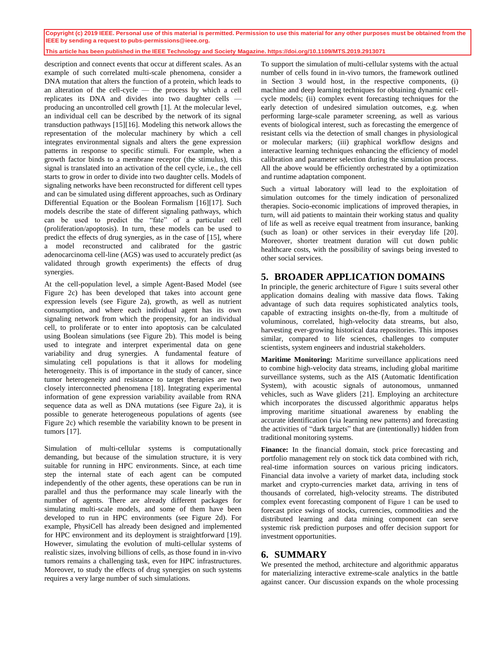#### **This article has been published in the IEEE Technology and Society Magazine. https://doi.org/10.1109/MTS.2019.2913071**

description and connect events that occur at different scales. As an example of such correlated multi-scale phenomena, consider a DNA mutation that alters the function of a protein, which leads to an alteration of the cell-cycle — the process by which a cell replicates its DNA and divides into two daughter cells producing an uncontrolled cell growth [\[1\].](#page-4-0) At the molecular level, an individual cell can be described by the network of its signal transduction pathways [\[15\]](#page-4-14)[\[16\].](#page-4-15) Modeling this network allows the representation of the molecular machinery by which a cell integrates environmental signals and alters the gene expression patterns in response to specific stimuli. For example, when a growth factor binds to a membrane receptor (the stimulus), this signal is translated into an activation of the cell cycle, i.e., the cell starts to grow in order to divide into two daughter cells. Models of signaling networks have been reconstructed for different cell types and can be simulated using different approaches, such as Ordinary Differential Equation or the Boolean Formalism [\[16\]](#page-4-15)[\[17\].](#page-4-16) Such models describe the state of different signaling pathways, which can be used to predict the "fate" of a particular cell (proliferation/apoptosis). In turn, these models can be used to predict the effects of drug synergies, as in the case of [\[15\],](#page-4-14) where a model reconstructed and calibrated for the gastric adenocarcinoma cell-line (AGS) was used to accurately predict (as validated through growth experiments) the effects of drug synergies.

At the cell-population level, a simple Agent-Based Model (see Figure 2c) has been developed that takes into account gene expression levels (see Figure 2a), growth, as well as nutrient consumption, and where each individual agent has its own signaling network from which the propensity, for an individual cell, to proliferate or to enter into apoptosis can be calculated using Boolean simulations (see Figure 2b). This model is being used to integrate and interpret experimental data on gene variability and drug synergies. A fundamental feature of simulating cell populations is that it allows for modeling heterogeneity. This is of importance in the study of cancer, since tumor heterogeneity and resistance to target therapies are two closely interconnected phenomena [\[18\].](#page-4-17) Integrating experimental information of gene expression variability available from RNA sequence data as well as DNA mutations (see Figure 2a), it is possible to generate heterogeneous populations of agents (see Figure 2c) which resemble the variability known to be present in tumor[s \[17\].](#page-4-16)

Simulation of multi-cellular systems is computationally demanding, but because of the simulation structure, it is very suitable for running in HPC environments. Since, at each time step the internal state of each agent can be computed independently of the other agents, these operations can be run in parallel and thus the performance may scale linearly with the number of agents. There are already different packages for simulating multi-scale models, and some of them have been developed to run in HPC environments (see Figure 2d). For example, PhysiCell has already been designed and implemented for HPC environment and its deployment is straightforward [\[19\].](#page-4-18) However, simulating the evolution of multi-cellular systems of realistic sizes, involving billions of cells, as those found in in-vivo tumors remains a challenging task, even for HPC infrastructures. Moreover, to study the effects of drug synergies on such systems requires a very large number of such simulations.

To support the simulation of multi-cellular systems with the actual number of cells found in in-vivo tumors, the framework outlined in Section [3](#page-1-0) would host, in the respective components, (i) machine and deep learning techniques for obtaining dynamic cellcycle models; (ii) complex event forecasting techniques for the early detection of undesired simulation outcomes, e.g. when performing large-scale parameter screening, as well as various events of biological interest, such as forecasting the emergence of resistant cells via the detection of small changes in physiological or molecular markers; (iii) graphical workflow designs and interactive learning techniques enhancing the efficiency of model calibration and parameter selection during the simulation process. All the above would be efficiently orchestrated by a optimization and runtime adaptation component.

Such a virtual laboratory will lead to the exploitation of simulation outcomes for the timely indication of personalized therapies. Socio-economic implications of improved therapies, in turn, will aid patients to maintain their working status and quality of life as well as receive equal treatment from insurance, banking (such as loan) or other services in their everyday life [\[20\].](#page-4-19) Moreover, shorter treatment duration will cut down public healthcare costs, with the possibility of savings being invested to other social services.

## **5. BROADER APPLICATION DOMAINS**

In principle, the generic architecture of [Figure 1](#page-5-0) suits several other application domains dealing with massive data flows. Taking advantage of such data requires sophisticated analytics tools, capable of extracting insights on-the-fly, from a multitude of voluminous, correlated, high-velocity data streams, but also, harvesting ever-growing historical data repositories. This imposes similar, compared to life sciences, challenges to computer scientists, system engineers and industrial stakeholders.

**Maritime Monitoring:** Maritime surveillance applications need to combine high-velocity data streams, including global maritime surveillance systems, such as the AIS (Automatic Identification System), with acoustic signals of autonomous, unmanned vehicles, such as Wave gliders [\[21\].](#page-4-20) Employing an architecture which incorporates the discussed algorithmic apparatus helps improving maritime situational awareness by enabling the accurate identification (via learning new patterns) and forecasting the activities of "dark targets" that are (intentionally) hidden from traditional monitoring systems.

Finance: In the financial domain, stock price forecasting and portfolio management rely on stock tick data combined with rich, real-time information sources on various pricing indicators. Financial data involve a variety of market data, including stock market and crypto-currencies market data, arriving in tens of thousands of correlated, high-velocity streams. The distributed complex event forecasting component of [Figure 1](#page-5-0) can be used to forecast price swings of stocks, currencies, commodities and the distributed learning and data mining component can serve systemic risk prediction purposes and offer decision support for investment opportunities.

### **6. SUMMARY**

We presented the method, architecture and algorithmic apparatus for materializing interactive extreme-scale analytics in the battle against cancer. Our discussion expands on the whole processing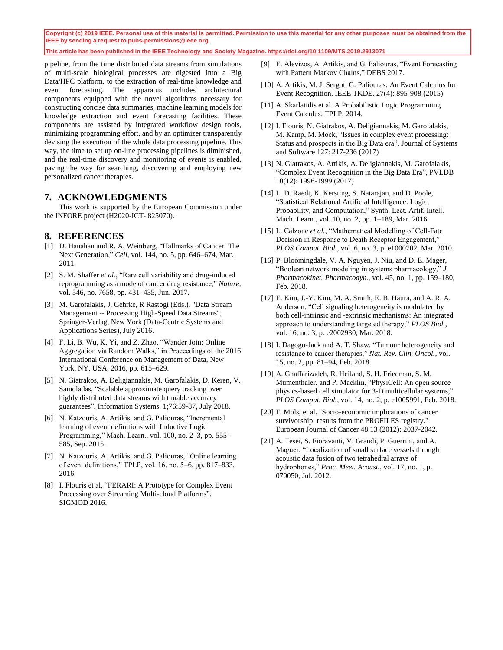**This article has been published in the IEEE Technology and Society Magazine. https://doi.org/10.1109/MTS.2019.2913071**

pipeline, from the time distributed data streams from simulations of multi-scale biological processes are digested into a Big Data/HPC platform, to the extraction of real-time knowledge and event forecasting. The apparatus includes architectural components equipped with the novel algorithms necessary for constructing concise data summaries, machine learning models for knowledge extraction and event forecasting facilities. These components are assisted by integrated workflow design tools, minimizing programming effort, and by an optimizer transparently devising the execution of the whole data processing pipeline. This way, the time to set up on-line processing pipelines is diminished, and the real-time discovery and monitoring of events is enabled, paving the way for searching, discovering and employing new personalized cancer therapies.

### **7. ACKNOWLEDGMENTS**

This work is supported by the European Commission under the INFORE project (H2020-ICT- 825070).

### **8. REFERENCES**

- <span id="page-4-0"></span>[1] D. Hanahan and R. A. Weinberg, "Hallmarks of Cancer: The Next Generation," *Cell*, vol. 144, no. 5, pp. 646–674, Mar. 2011.
- <span id="page-4-1"></span>[2] S. M. Shaffer *et al.*, "Rare cell variability and drug-induced reprogramming as a mode of cancer drug resistance," *Nature*, vol. 546, no. 7658, pp. 431–435, Jun. 2017.
- <span id="page-4-2"></span>[3] M. Garofalakis, J. Gehrke, R Rastogi (Eds.). "Data Stream Management -- Processing High-Speed Data Streams", Springer-Verlag, New York (Data-Centric Systems and Applications Series), July 2016.
- <span id="page-4-3"></span>[4] F. Li, B. Wu, K. Yi, and Z. Zhao, "Wander Join: Online Aggregation via Random Walks," in Proceedings of the 2016 International Conference on Management of Data, New York, NY, USA, 2016, pp. 615–629.
- <span id="page-4-4"></span>[5] N. Giatrakos, A. Deligiannakis, M. Garofalakis, D. Keren, V. Samoladas, "Scalable approximate query tracking over highly distributed data streams with tunable accuracy guarantees", Information Systems. 1;76:59-87, July 2018.
- <span id="page-4-5"></span>[6] N. Katzouris, A. Artikis, and G. Paliouras, "Incremental learning of event definitions with Inductive Logic Programming," Mach. Learn., vol. 100, no. 2–3, pp. 555– 585, Sep. 2015.
- <span id="page-4-6"></span>[7] N. Katzouris, A. Artikis, and G. Paliouras, "Online learning of event definitions," TPLP, vol. 16, no. 5–6, pp. 817–833, 2016.
- <span id="page-4-7"></span>[8] I. Flouris et al, "FERARI: A Prototype for Complex Event Processing over Streaming Multi-cloud Platforms", SIGMOD 2016.
- <span id="page-4-8"></span>[9] E. Alevizos, A. Artikis, and G. Paliouras, "Event Forecasting with Pattern Markov Chains," DEBS 2017.
- <span id="page-4-9"></span>[10] A. Artikis, M. J. Sergot, G. Paliouras: An Event Calculus for Event Recognition. IEEE TKDE. 27(4): 895-908 (2015)
- <span id="page-4-10"></span>[11] A. Skarlatidis et al. A Probabilistic Logic Programming Event Calculus. TPLP, 2014.
- <span id="page-4-11"></span>[12] I. Flouris, N. Giatrakos, A. Deligiannakis, M. Garofalakis, M. Kamp, M. Mock, "Issues in complex event processing: Status and prospects in the Big Data era", Journal of Systems and Software 127: 217-236 (2017)
- <span id="page-4-12"></span>[13] N. Giatrakos, A. Artikis, A. Deligiannakis, M. Garofalakis, "Complex Event Recognition in the Big Data Era", PVLDB 10(12): 1996-1999 (2017)
- <span id="page-4-13"></span>[14] L. D. Raedt, K. Kersting, S. Natarajan, and D. Poole, "Statistical Relational Artificial Intelligence: Logic, Probability, and Computation," Synth. Lect. Artif. Intell. Mach. Learn., vol. 10, no. 2, pp. 1–189, Mar. 2016.
- <span id="page-4-14"></span>[15] L. Calzone et al., "Mathematical Modelling of Cell-Fate Decision in Response to Death Receptor Engagement," *PLOS Comput. Biol.*, vol. 6, no. 3, p. e1000702, Mar. 2010.
- <span id="page-4-15"></span>[16] P. Bloomingdale, V. A. Nguyen, J. Niu, and D. E. Mager, "Boolean network modeling in systems pharmacology," *J. Pharmacokinet. Pharmacodyn.*, vol. 45, no. 1, pp. 159–180, Feb. 2018.
- <span id="page-4-16"></span>[17] E. Kim, J.-Y. Kim, M. A. Smith, E. B. Haura, and A. R. A. Anderson, "Cell signaling heterogeneity is modulated by both cell-intrinsic and -extrinsic mechanisms: An integrated approach to understanding targeted therapy," *PLOS Biol.*, vol. 16, no. 3, p. e2002930, Mar. 2018.
- <span id="page-4-17"></span>[18] I. Dagogo-Jack and A. T. Shaw, "Tumour heterogeneity and resistance to cancer therapies," *Nat. Rev. Clin. Oncol.*, vol. 15, no. 2, pp. 81–94, Feb. 2018.
- <span id="page-4-18"></span>[19] A. Ghaffarizadeh, R. Heiland, S. H. Friedman, S. M. Mumenthaler, and P. Macklin, "PhysiCell: An open source physics-based cell simulator for 3-D multicellular systems," *PLOS Comput. Biol.*, vol. 14, no. 2, p. e1005991, Feb. 2018.
- <span id="page-4-19"></span>[20] F. Mols, et al. "Socio-economic implications of cancer survivorship: results from the PROFILES registry." European Journal of Cancer 48.13 (2012): 2037-2042.
- <span id="page-4-20"></span>[21] A. Tesei, S. Fioravanti, V. Grandi, P. Guerrini, and A. Maguer, "Localization of small surface vessels through acoustic data fusion of two tetrahedral arrays of hydrophones," *Proc. Meet. Acoust.*, vol. 17, no. 1, p. 070050, Jul. 2012.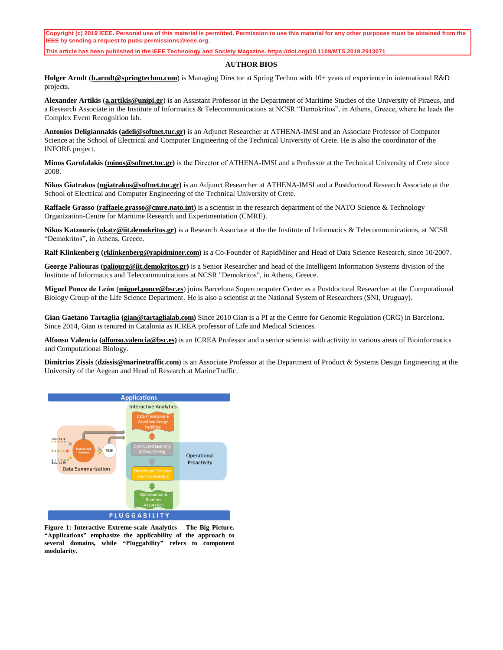**This article has been published in the IEEE Technology and Society Magazine. https://doi.org/10.1109/MTS.2019.2913071**

#### **AUTHOR BIOS**

**Holger Arndt** (**[h.arndt@springtechno.com](mailto:h.arndt@springtechno.com)**) is Managing Director at Spring Techno with 10+ years of experience in international R&D projects.

**Alexander Artikis** (**[a.artikis@unipi.gr](mailto:a.artikis@unipi.gr)**) is an Assistant Professor in the Department of Maritime Studies of the University of Piraeus, and a Research Associate in the Institute of Informatics & Telecommunications at NCSR "Demokritos", in Athens, Greece, where he leads the Complex Event Recognition lab.

**Antonios Deligiannakis [\(adeli@softnet.tuc.gr\)](mailto:adeli@softnet.tuc.gr)** is an Adjunct Researcher at ATHENA-IMSI and an Associate Professor of Computer Science at the School of Electrical and Computer Engineering of the Technical University of Crete. He is also the coordinator of the INFORE project.

**Minos Garofalakis (minos@softnet.tuc.gr)** is the Director of ΑΤΗΕΝΑ-IMSI and a Professor at the Technical University of Crete since 2008.

**Nikos Giatrakos (ngiatrakos@softnet.tuc.gr)** is an Adjunct Researcher at ATHENA-IMSI and a Postdoctoral Research Associate at the School of Electrical and Computer Engineering of the Technical University of Crete.

**Raffaele Grasso [\(raffaele.grasso@cmre.nato.int\)](mailto:raffaele.grasso@cmre.nato.int)** is a scientist in the research department of the NATO Science & Technology Organization-Centre for Maritime Research and Experimentation (CMRE).

**Nikos Katzouris [\(nkatz@iit.demokritos.gr\)](mailto:fabiana@il.ibm.com)** is a Research Associate at the the Institute of Informatics & Telecommunications, at NCSR "Demokritos", in Athens, Greece.

**Ralf Klinkenberg (rklinkenberg@rapidminer.com)** is a Co-Founder of RapidMiner and Head of Data Science Research, since 10/2007.

**George Paliouras (paliourg@iit.demokritos.gr)** is a Senior Researcher and head of the Intelligent Information Systems division of the Institute of Informatics and Telecommunications at NCSR "Demokritos", in Athens, Greece.

**Miguel Ponce de León** (**[miguel.ponce@bsc.es](mailto:miguel.ponce@bsc.es)**) joins Barcelona Supercomputer Center as a Postdoctoral Researcher at the Computational Biology Group of the Life Science Department. He is also a scientist at the National System of Researchers (SNI, Uruguay).

**Gian Gaetano Tartaglia (gian@tartaglialab.com)** Since 2010 Gian is a PI at the Centre for Genomic Regulation (CRG) in Barcelona. Since 2014, Gian is tenured in Catalonia as ICREA professor of Life and Medical Sciences.

**Alfonso Valencia (alfonso.valencia@bsc.es)** is an ICREA Professor and a senior scientist with activity in various areas of Bioinformatics and Computational Biology.

**Dimitrios Zissis** (**dzissis@marinetraffic.com**) is an Associate Professor at the Department of Product & Systems Design Engineering at the University of the Aegean and Head of Research at MarineTraffic.



<span id="page-5-0"></span>**Figure 1: Interactive Extreme-scale Analytics – The Big Picture. "Applications" emphasize the applicability of the approach to several domains, while "Pluggability" refers to component modularity.**